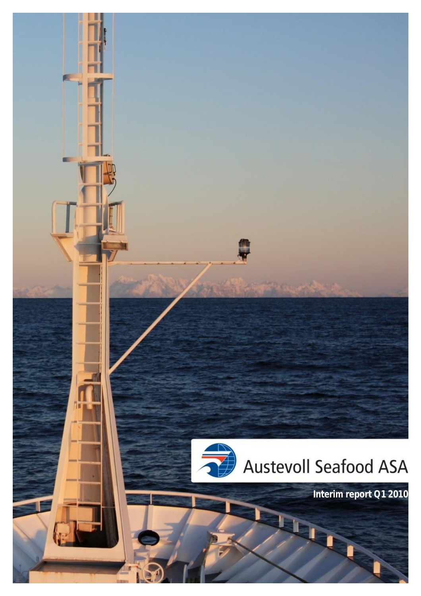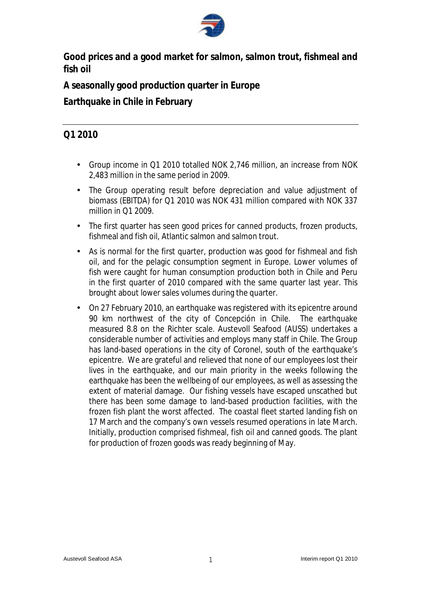

**Good prices and a good market for salmon, salmon trout, fishmeal and fish oil** 

**A seasonally good production quarter in Europe** 

**Earthquake in Chile in February**

# **Q1 2010**

- Group income in Q1 2010 totalled NOK 2,746 million, an increase from NOK 2,483 million in the same period in 2009.
- The Group operating result before depreciation and value adjustment of biomass (EBITDA) for Q1 2010 was NOK 431 million compared with NOK 337 million in Q1 2009.
- The first quarter has seen good prices for canned products, frozen products, fishmeal and fish oil, Atlantic salmon and salmon trout.
- As is normal for the first quarter, production was good for fishmeal and fish oil, and for the pelagic consumption segment in Europe. Lower volumes of fish were caught for human consumption production both in Chile and Peru in the first quarter of 2010 compared with the same quarter last year. This brought about lower sales volumes during the quarter.
- On 27 February 2010, an earthquake was registered with its epicentre around 90 km northwest of the city of Concepción in Chile. The earthquake measured 8.8 on the Richter scale. Austevoll Seafood (AUSS) undertakes a considerable number of activities and employs many staff in Chile. The Group has land-based operations in the city of Coronel, south of the earthquake's epicentre. We are grateful and relieved that none of our employees lost their lives in the earthquake, and our main priority in the weeks following the earthquake has been the wellbeing of our employees, as well as assessing the extent of material damage. Our fishing vessels have escaped unscathed but there has been some damage to land-based production facilities, with the frozen fish plant the worst affected. The coastal fleet started landing fish on 17 March and the company's own vessels resumed operations in late March. Initially, production comprised fishmeal, fish oil and canned goods. The plant for production of frozen goods was ready beginning of May.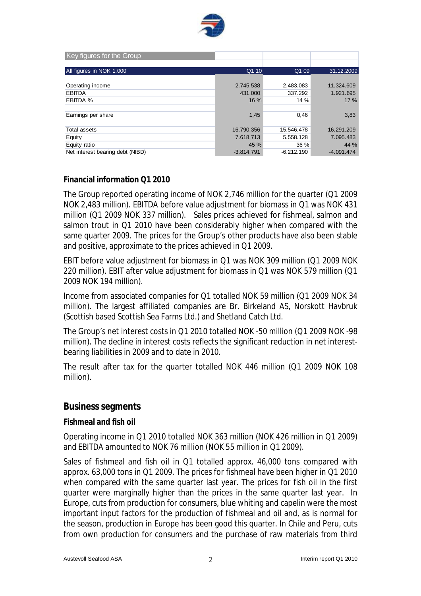

| Key figures for the Group        |              |              |              |
|----------------------------------|--------------|--------------|--------------|
| All figures in NOK 1.000         | Q1 10        | Q1 09        | 31.12.2009   |
|                                  |              |              |              |
| Operating income                 | 2.745.538    | 2.483.083    | 11.324.609   |
| <b>EBITDA</b>                    | 431,000      | 337.292      | 1.921.695    |
| EBITDA %                         | 16 %         | 14 %         | 17%          |
|                                  |              |              |              |
| Earnings per share               | 1,45         | 0,46         | 3,83         |
|                                  |              |              |              |
| Total assets                     | 16.790.356   | 15.546.478   | 16.291.209   |
| Equity                           | 7.618.713    | 5.558.128    | 7.095.483    |
| Equity ratio                     | 45 %         | 36 %         | 44 %         |
| Net interest bearing debt (NIBD) | $-3.814.791$ | $-6.212.190$ | $-4.091.474$ |

#### **Financial information Q1 2010**

The Group reported operating income of NOK 2,746 million for the quarter (Q1 2009 NOK 2,483 million). EBITDA before value adjustment for biomass in Q1 was NOK 431 million (Q1 2009 NOK 337 million). Sales prices achieved for fishmeal, salmon and salmon trout in Q1 2010 have been considerably higher when compared with the same quarter 2009. The prices for the Group's other products have also been stable and positive, approximate to the prices achieved in Q1 2009.

EBIT before value adjustment for biomass in Q1 was NOK 309 million (Q1 2009 NOK 220 million). EBIT after value adjustment for biomass in Q1 was NOK 579 million (Q1 2009 NOK 194 million).

Income from associated companies for Q1 totalled NOK 59 million (Q1 2009 NOK 34 million). The largest affiliated companies are Br. Birkeland AS, Norskott Havbruk (Scottish based Scottish Sea Farms Ltd.) and Shetland Catch Ltd.

The Group's net interest costs in Q1 2010 totalled NOK -50 million (Q1 2009 NOK -98 million). The decline in interest costs reflects the significant reduction in net interestbearing liabilities in 2009 and to date in 2010.

The result after tax for the quarter totalled NOK 446 million (Q1 2009 NOK 108 million).

### **Business segments**

#### **Fishmeal and fish oil**

Operating income in Q1 2010 totalled NOK 363 million (NOK 426 million in Q1 2009) and EBITDA amounted to NOK 76 million (NOK 55 million in Q1 2009).

Sales of fishmeal and fish oil in Q1 totalled approx. 46,000 tons compared with approx. 63,000 tons in Q1 2009. The prices for fishmeal have been higher in Q1 2010 when compared with the same quarter last year. The prices for fish oil in the first quarter were marginally higher than the prices in the same quarter last year. In Europe, cuts from production for consumers, blue whiting and capelin were the most important input factors for the production of fishmeal and oil and, as is normal for the season, production in Europe has been good this quarter. In Chile and Peru, cuts from own production for consumers and the purchase of raw materials from third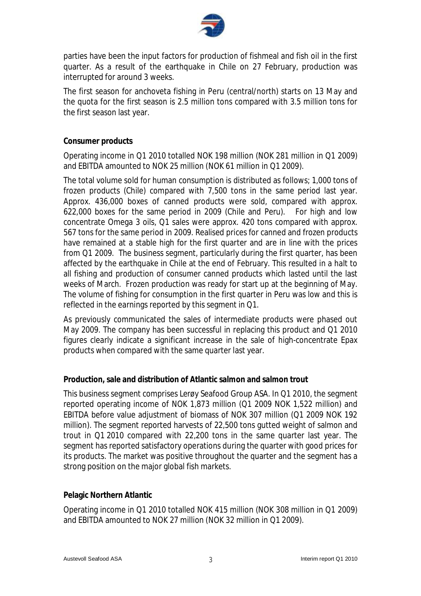

parties have been the input factors for production of fishmeal and fish oil in the first quarter. As a result of the earthquake in Chile on 27 February, production was interrupted for around 3 weeks.

The first season for anchoveta fishing in Peru (central/north) starts on 13 May and the quota for the first season is 2.5 million tons compared with 3.5 million tons for the first season last year.

#### **Consumer products**

Operating income in Q1 2010 totalled NOK 198 million (NOK 281 million in Q1 2009) and EBITDA amounted to NOK 25 million (NOK 61 million in Q1 2009).

The total volume sold for human consumption is distributed as follows; 1,000 tons of frozen products (Chile) compared with 7,500 tons in the same period last year. Approx. 436,000 boxes of canned products were sold, compared with approx. 622,000 boxes for the same period in 2009 (Chile and Peru). For high and low concentrate Omega 3 oils, Q1 sales were approx. 420 tons compared with approx. 567 tons for the same period in 2009. Realised prices for canned and frozen products have remained at a stable high for the first quarter and are in line with the prices from Q1 2009. The business segment, particularly during the first quarter, has been affected by the earthquake in Chile at the end of February. This resulted in a halt to all fishing and production of consumer canned products which lasted until the last weeks of March. Frozen production was ready for start up at the beginning of May. The volume of fishing for consumption in the first quarter in Peru was low and this is reflected in the earnings reported by this segment in Q1.

As previously communicated the sales of intermediate products were phased out May 2009. The company has been successful in replacing this product and Q1 2010 figures clearly indicate a significant increase in the sale of high-concentrate Epax products when compared with the same quarter last year.

### **Production, sale and distribution of Atlantic salmon and salmon trout**

This business segment comprises Lerøy Seafood Group ASA. In Q1 2010, the segment reported operating income of NOK 1,873 million (Q1 2009 NOK 1,522 million) and EBITDA before value adjustment of biomass of NOK 307 million (Q1 2009 NOK 192 million). The segment reported harvests of 22,500 tons gutted weight of salmon and trout in Q1 2010 compared with 22,200 tons in the same quarter last year. The segment has reported satisfactory operations during the quarter with good prices for its products. The market was positive throughout the quarter and the segment has a strong position on the major global fish markets.

#### **Pelagic Northern Atlantic**

Operating income in Q1 2010 totalled NOK 415 million (NOK 308 million in Q1 2009) and EBITDA amounted to NOK 27 million (NOK 32 million in Q1 2009).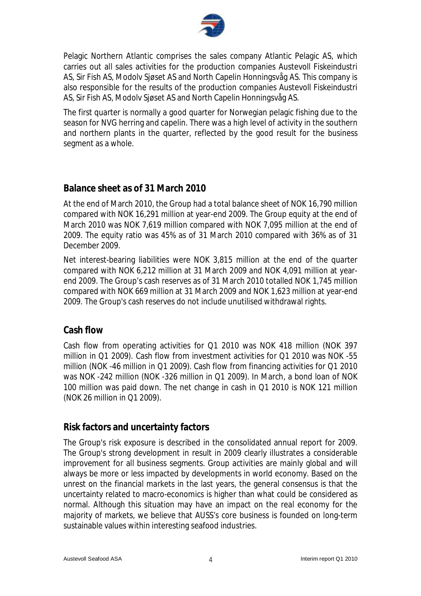

Pelagic Northern Atlantic comprises the sales company Atlantic Pelagic AS, which carries out all sales activities for the production companies Austevoll Fiskeindustri AS, Sir Fish AS, Modolv Sjøset AS and North Capelin Honningsvåg AS. This company is also responsible for the results of the production companies Austevoll Fiskeindustri AS, Sir Fish AS, Modolv Sjøset AS and North Capelin Honningsvåg AS.

The first quarter is normally a good quarter for Norwegian pelagic fishing due to the season for NVG herring and capelin. There was a high level of activity in the southern and northern plants in the quarter, reflected by the good result for the business segment as a whole.

## **Balance sheet as of 31 March 2010**

At the end of March 2010, the Group had a total balance sheet of NOK 16,790 million compared with NOK 16,291 million at year-end 2009. The Group equity at the end of March 2010 was NOK 7,619 million compared with NOK 7,095 million at the end of 2009. The equity ratio was 45% as of 31 March 2010 compared with 36% as of 31 December 2009.

Net interest-bearing liabilities were NOK 3,815 million at the end of the quarter compared with NOK 6,212 million at 31 March 2009 and NOK 4,091 million at yearend 2009. The Group's cash reserves as of 31 March 2010 totalled NOK 1,745 million compared with NOK 669 million at 31 March 2009 and NOK 1,623 million at year-end 2009. The Group's cash reserves do not include unutilised withdrawal rights.

## **Cash flow**

Cash flow from operating activities for Q1 2010 was NOK 418 million (NOK 397 million in Q1 2009). Cash flow from investment activities for Q1 2010 was NOK -55 million (NOK -46 million in Q1 2009). Cash flow from financing activities for Q1 2010 was NOK -242 million (NOK -326 million in Q1 2009). In March, a bond loan of NOK 100 million was paid down. The net change in cash in Q1 2010 is NOK 121 million (NOK 26 million in Q1 2009).

## **Risk factors and uncertainty factors**

The Group's risk exposure is described in the consolidated annual report for 2009. The Group's strong development in result in 2009 clearly illustrates a considerable improvement for all business segments. Group activities are mainly global and will always be more or less impacted by developments in world economy. Based on the unrest on the financial markets in the last years, the general consensus is that the uncertainty related to macro-economics is higher than what could be considered as normal. Although this situation may have an impact on the real economy for the majority of markets, we believe that AUSS's core business is founded on long-term sustainable values within interesting seafood industries.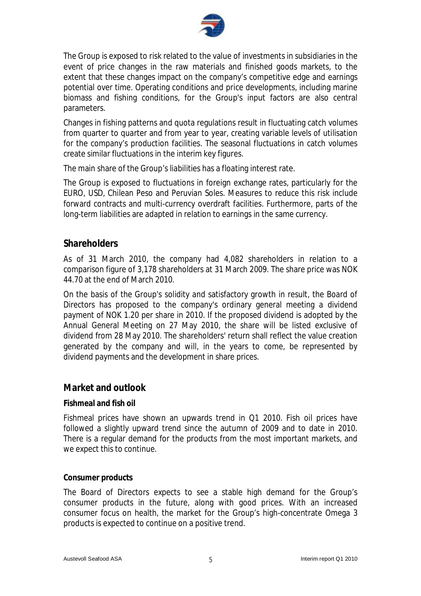

The Group is exposed to risk related to the value of investments in subsidiaries in the event of price changes in the raw materials and finished goods markets, to the extent that these changes impact on the company's competitive edge and earnings potential over time. Operating conditions and price developments, including marine biomass and fishing conditions, for the Group's input factors are also central parameters.

Changes in fishing patterns and quota regulations result in fluctuating catch volumes from quarter to quarter and from year to year, creating variable levels of utilisation for the company's production facilities. The seasonal fluctuations in catch volumes create similar fluctuations in the interim key figures.

The main share of the Group's liabilities has a floating interest rate.

The Group is exposed to fluctuations in foreign exchange rates, particularly for the EURO, USD, Chilean Peso and Peruvian Soles. Measures to reduce this risk include forward contracts and multi-currency overdraft facilities. Furthermore, parts of the long-term liabilities are adapted in relation to earnings in the same currency.

## **Shareholders**

As of 31 March 2010, the company had 4,082 shareholders in relation to a comparison figure of 3,178 shareholders at 31 March 2009. The share price was NOK 44.70 at the end of March 2010.

On the basis of the Group's solidity and satisfactory growth in result, the Board of Directors has proposed to the company's ordinary general meeting a dividend payment of NOK 1.20 per share in 2010. If the proposed dividend is adopted by the Annual General Meeting on 27 May 2010, the share will be listed exclusive of dividend from 28 May 2010. The shareholders' return shall reflect the value creation generated by the company and will, in the years to come, be represented by dividend payments and the development in share prices.

### **Market and outlook**

#### **Fishmeal and fish oil**

Fishmeal prices have shown an upwards trend in Q1 2010. Fish oil prices have followed a slightly upward trend since the autumn of 2009 and to date in 2010. There is a regular demand for the products from the most important markets, and we expect this to continue.

#### **Consumer products**

The Board of Directors expects to see a stable high demand for the Group's consumer products in the future, along with good prices. With an increased consumer focus on health, the market for the Group's high-concentrate Omega 3 products is expected to continue on a positive trend.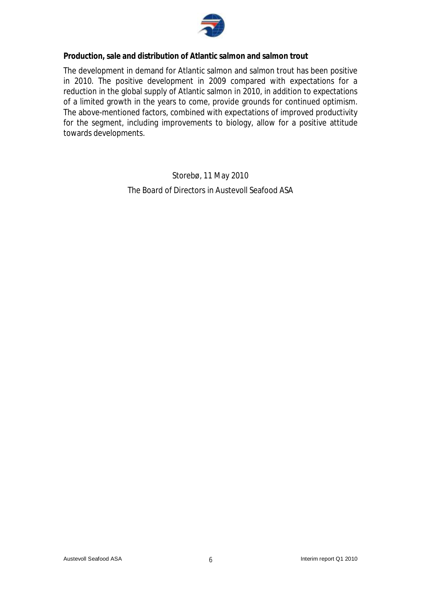

**Production, sale and distribution of Atlantic salmon and salmon trout** 

The development in demand for Atlantic salmon and salmon trout has been positive in 2010. The positive development in 2009 compared with expectations for a reduction in the global supply of Atlantic salmon in 2010, in addition to expectations of a limited growth in the years to come, provide grounds for continued optimism. The above-mentioned factors, combined with expectations of improved productivity for the segment, including improvements to biology, allow for a positive attitude towards developments.

> Storebø, 11 May 2010 The Board of Directors in Austevoll Seafood ASA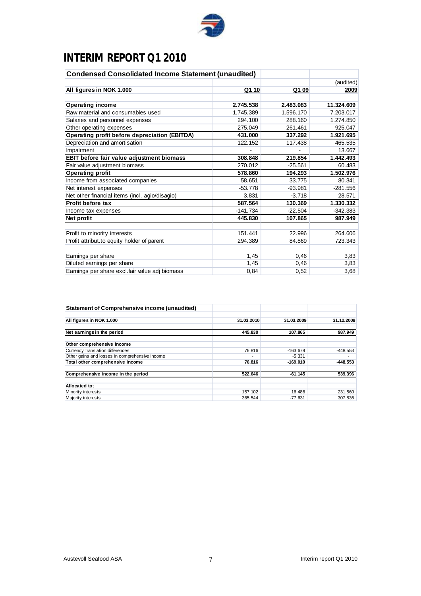

# **INTERIM REPORT Q1 2010**

| <b>Condensed Consolidated Income Statement (unaudited)</b> |            |           |            |
|------------------------------------------------------------|------------|-----------|------------|
|                                                            |            |           | (audited)  |
| All figures in NOK 1.000                                   | Q1 10      | Q1 09     | 2009       |
| <b>Operating income</b>                                    | 2.745.538  | 2.483.083 | 11.324.609 |
| Raw material and consumables used                          | 1.745.389  | 1.596.170 | 7.203.017  |
| Salaries and personnel expenses                            | 294.100    | 288.160   | 1.274.850  |
| Other operating expenses                                   | 275.049    | 261.461   | 925.047    |
| <b>Operating profit before depreciation (EBITDA)</b>       | 431.000    | 337.292   | 1.921.695  |
| Depreciation and amortisation                              | 122.152    | 117.438   | 465.535    |
| Impairment                                                 |            |           | 13.667     |
| EBIT before fair value adjustment biomass                  | 308.848    | 219.854   | 1.442.493  |
| Fair value adjustment biomass                              | 270.012    | $-25.561$ | 60.483     |
| <b>Operating profit</b>                                    | 578.860    | 194.293   | 1.502.976  |
| Income from associated companies                           | 58.651     | 33.775    | 80.341     |
| Net interest expenses                                      | $-53.778$  | $-93.981$ | $-281.556$ |
| Net other financial items (incl. agio/disagio)             | 3.831      | $-3.718$  | 28.571     |
| Profit before tax                                          | 587.564    | 130.369   | 1.330.332  |
| Income tax expenses                                        | $-141.734$ | $-22.504$ | $-342.383$ |
| Net profit                                                 | 445.830    | 107.865   | 987.949    |
| Profit to minority interests                               | 151.441    | 22.996    | 264,606    |
| Profit attribut.to equity holder of parent                 | 294.389    | 84.869    | 723.343    |
| Earnings per share                                         | 1,45       | 0,46      | 3,83       |
| Diluted earnings per share                                 | 1,45       | 0,46      | 3,83       |
| Earnings per share excl.fair value adj biomass             | 0,84       | 0,52      | 3,68       |

| Statement of Comprehensive income (unaudited)  |            |            |            |
|------------------------------------------------|------------|------------|------------|
| All figures in NOK 1.000                       | 31.03.2010 | 31.03.2009 | 31.12.2009 |
| Net earnings in the period                     | 445.830    | 107.865    | 987.949    |
| Other comprehensive income                     |            |            |            |
| Currency translation differences               | 76.816     | $-163.679$ | $-448.553$ |
| Other gains and losses in comprehensive income |            | -5.331     | ۰          |
| Total other comprehensive income               | 76.816     | $-169.010$ | -448.553   |
| Comprehensive income in the period             | 522.646    | $-61.145$  | 539.396    |
| Allocated to:                                  |            |            |            |
| Minority interests                             | 157.102    | 16.486     | 231.560    |
| Majority interests                             | 365.544    | -77.631    | 307.836    |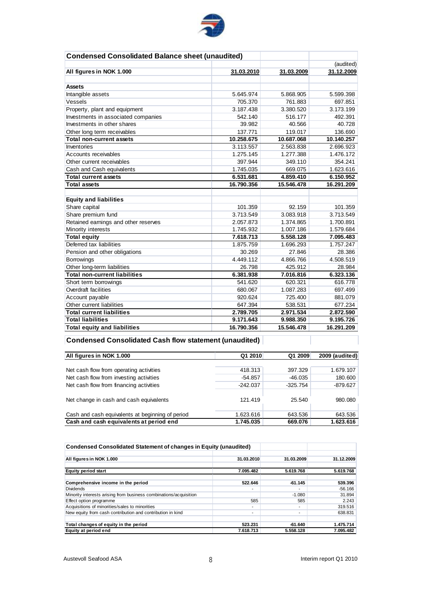

| <b>Condensed Consolidated Balance sheet (unaudited)</b> |            |            |            |
|---------------------------------------------------------|------------|------------|------------|
|                                                         |            |            | (audited)  |
| All figures in NOK 1.000                                | 31.03.2010 | 31.03.2009 | 31.12.2009 |
|                                                         |            |            |            |
| <b>Assets</b>                                           |            |            |            |
| Intangible assets                                       | 5.645.974  | 5.868.905  | 5.599.398  |
| Vessels                                                 | 705.370    | 761.883    | 697.851    |
| Property, plant and equipment                           | 3.187.438  | 3.380.520  | 3.173.199  |
| Investments in associated companies                     | 542.140    | 516.177    | 492.391    |
| Investments in other shares                             | 39.982     | 40.566     | 40.728     |
| Other long term receivables                             | 137.771    | 119.017    | 136.690    |
| <b>Total non-current assets</b>                         | 10.258.675 | 10.687.068 | 10.140.257 |
| Inventories                                             | 3.113.557  | 2.563.838  | 2.696.923  |
| Accounts receivables                                    | 1.275.145  | 1.277.388  | 1.476.172  |
| Other current receivables                               | 397.944    | 349.110    | 354.241    |
| Cash and Cash equivalents                               | 1.745.035  | 669.075    | 1.623.616  |
| <b>Total current assets</b>                             | 6.531.681  | 4.859.410  | 6.150.952  |
| <b>Total assets</b>                                     | 16.790.356 | 15.546.478 | 16.291.209 |
|                                                         |            |            |            |
| <b>Equity and liabilities</b>                           |            |            |            |
| Share capital                                           | 101.359    | 92.159     | 101.359    |
| Share premium fund                                      | 3.713.549  | 3.083.918  | 3.713.549  |
| Retained earnings and other reserves                    | 2.057.873  | 1.374.865  | 1.700.891  |
| Minority interests                                      | 1.745.932  | 1.007.186  | 1.579.684  |
| <b>Total equity</b>                                     | 7.618.713  | 5.558.128  | 7.095.483  |
| Deferred tax liabilities                                | 1.875.759  | 1.696.293  | 1.757.247  |
| Pension and other obligations                           | 30.269     | 27.846     | 28.386     |
| <b>Borrowings</b>                                       | 4.449.112  | 4.866.766  | 4.508.519  |
| Other long-term liabilities                             | 26.798     | 425.912    | 28.984     |
| <b>Total non-current liabilities</b>                    | 6.381.938  | 7.016.816  | 6.323.136  |
| Short term borrowings                                   | 541.620    | 620.321    | 616.778    |
| Overdraft facilities                                    | 680.067    | 1.087.283  | 697.499    |
| Account payable                                         | 920.624    | 725.400    | 881.079    |
| Other current liabilities                               | 647.394    | 538.531    | 677.234    |
| <b>Total current liabilities</b>                        | 2.789.705  | 2.971.534  | 2.872.590  |
| <b>Total liabilities</b>                                | 9.171.643  | 9.988.350  | 9.195.726  |
| <b>Total equity and liabilities</b>                     | 16.790.356 | 15.546.478 | 16.291.209 |

## **Condensed Consolidated Cash flow statement (unaudited)**

| All figures in NOK 1.000                         | Q1 2010    | Q1 2009    | 2009 (audited) |
|--------------------------------------------------|------------|------------|----------------|
|                                                  |            |            |                |
| Net cash flow from operating activities          | 418.313    | 397.329    | 1.679.107      |
| Net cash flow from investing activities          | $-54.857$  | $-46.035$  | 180.600        |
| Net cash flow from financing activities          | $-242.037$ | $-325.754$ | $-879.627$     |
| Net change in cash and cash equivalents          | 121.419    | 25.540     | 980.080        |
| Cash and cash equivalents at beginning of period | 1.623.616  | 643.536    | 643.536        |
| Cash and cash equivalents at period end          | 1.745.035  | 669.076    | 1.623.616      |

| <b>Condensed Consolidated Statement of changes in Equity (unaudited)</b> |            |            |            |
|--------------------------------------------------------------------------|------------|------------|------------|
| All figures in NOK 1.000                                                 | 31.03.2010 | 31.03.2009 | 31.12.2009 |
| <b>Equity period start</b>                                               | 7.095.482  | 5.619.768  | 5.619.768  |
| Comprehensive income in the period                                       | 522.646    | $-61.145$  | 539.396    |
| <b>Dividends</b>                                                         |            | ۰          | $-56.166$  |
| Minority interests arising from business combinations/acquisition        |            | $-1.080$   | 31.894     |
| Effect option programme                                                  | 585        | 585        | 2.243      |
| Acquisitions of minorities/sales to minorities                           |            | ۰.         | 319.516    |
| New equity from cash contribution and contribution in kind               | ۰          | ۰          | 638.831    |
| Total changes of equity in the period                                    | 523.231    | $-61.640$  | 1.475.714  |
| Equity at period end                                                     | 7.618.713  | 5.558.128  | 7.095.482  |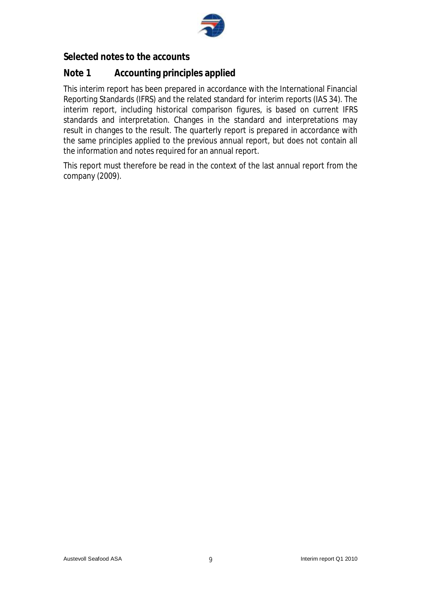

## **Selected notes to the accounts**

## **Note 1 Accounting principles applied**

This interim report has been prepared in accordance with the International Financial Reporting Standards (IFRS) and the related standard for interim reports (IAS 34). The interim report, including historical comparison figures, is based on current IFRS standards and interpretation. Changes in the standard and interpretations may result in changes to the result. The quarterly report is prepared in accordance with the same principles applied to the previous annual report, but does not contain all the information and notes required for an annual report.

This report must therefore be read in the context of the last annual report from the company (2009).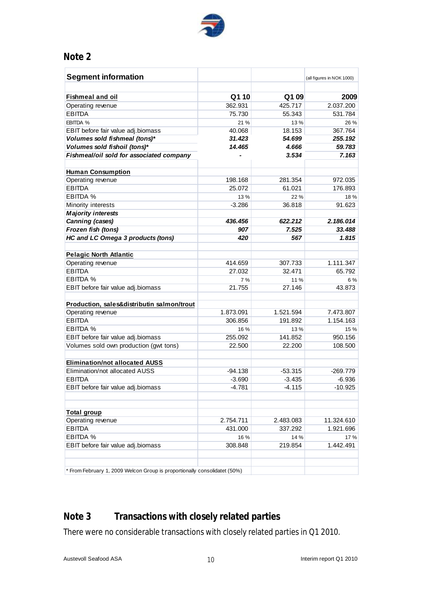

## **Note 2**

| <b>Segment information</b>                                                |           |           | (all figures in NOK 1.000) |
|---------------------------------------------------------------------------|-----------|-----------|----------------------------|
|                                                                           |           |           |                            |
| <b>Fishmeal and oil</b>                                                   | Q110      | Q109      | 2009                       |
| Operating revenue                                                         | 362.931   | 425.717   | 2.037.200                  |
| <b>EBITDA</b>                                                             | 75.730    | 55.343    | 531.784                    |
| EBITDA %                                                                  | 21 %      | 13%       | 26 %                       |
| EBIT before fair value adj.biomass                                        | 40.068    | 18.153    | 367.764                    |
| Volumes sold fishmeal (tons)*                                             | 31.423    | 54.699    | 255.192                    |
| Volumes sold fishoil (tons)*                                              | 14.465    | 4.666     | 59.783                     |
| Fishmeal/oil sold for associated company                                  |           | 3.534     | 7.163                      |
|                                                                           |           |           |                            |
| <b>Human Consumption</b>                                                  |           |           |                            |
| Operating revenue                                                         | 198.168   | 281.354   | 972.035                    |
| <b>EBITDA</b>                                                             | 25.072    | 61.021    | 176.893                    |
| EBITDA %                                                                  | 13%       | 22%       | 18 %                       |
| Minority interests                                                        | $-3.286$  | 36.818    | 91.623                     |
| <b>Majority interests</b>                                                 |           |           |                            |
| Canning (cases)                                                           | 436.456   | 622.212   | 2.186.014                  |
| Frozen fish (tons)                                                        | 907       | 7.525     | 33.488                     |
| <b>HC and LC Omega 3 products (tons)</b>                                  | 420       | 567       | 1.815                      |
|                                                                           |           |           |                            |
| <b>Pelagic North Atlantic</b>                                             |           |           |                            |
| Operating revenue                                                         | 414.659   | 307.733   | 1.111.347                  |
| <b>EBITDA</b>                                                             | 27.032    | 32.471    | 65.792                     |
| EBITDA %                                                                  | 7 %       | 11%       | 6 %                        |
| EBIT before fair value adj.biomass                                        | 21.755    | 27.146    | 43.873                     |
|                                                                           |           |           |                            |
| Production, sales&distributin salmon/trout                                |           |           |                            |
| Operating revenue                                                         | 1.873.091 | 1.521.594 | 7.473.807                  |
| <b>EBITDA</b>                                                             | 306.856   | 191.892   | 1.154.163                  |
| EBITDA %                                                                  | 16 %      | 13%       | 15 %                       |
| EBIT before fair value adj.biomass                                        | 255.092   | 141.852   | 950.156                    |
| Volumes sold own production (gwt tons)                                    | 22.500    | 22.200    | 108.500                    |
|                                                                           |           |           |                            |
| <b>Elimination/not allocated AUSS</b>                                     |           |           |                            |
| Elimination/not allocated AUSS                                            | -94.138   | $-53.315$ | $-269.779$                 |
| EBITDA                                                                    | $-3.690$  | $-3.435$  | $-6.936$                   |
| EBIT before fair value adj.biomass                                        | $-4.781$  | $-4.115$  | $-10.925$                  |
|                                                                           |           |           |                            |
| <b>Total group</b>                                                        |           |           |                            |
| Operating revenue                                                         | 2.754.711 | 2.483.083 | 11.324.610                 |
| <b>EBITDA</b>                                                             | 431.000   | 337.292   | 1.921.696                  |
| EBITDA %                                                                  | 16 %      | 14 %      | 17 %                       |
| EBIT before fair value adj.biomass                                        | 308.848   | 219.854   | 1.442.491                  |
|                                                                           |           |           |                            |
|                                                                           |           |           |                            |
| * From February 1, 2009 Welcon Group is proportionally consolidatet (50%) |           |           |                            |
|                                                                           |           |           |                            |

# **Note 3 Transactions with closely related parties**

There were no considerable transactions with closely related parties in Q1 2010.